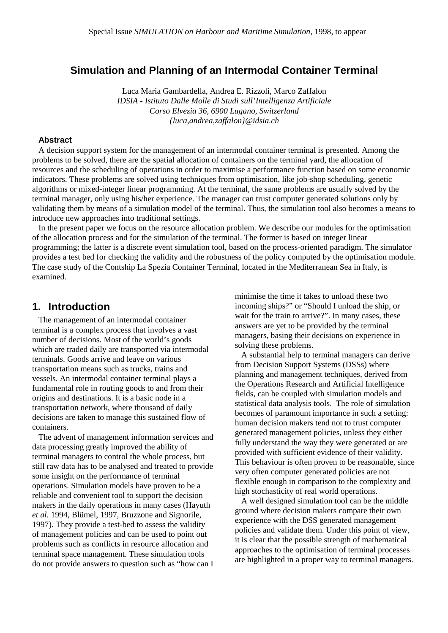## **Simulation and Planning of an Intermodal Container Terminal**

Luca Maria Gambardella, Andrea E. Rizzoli, Marco Zaffalon *IDSIA - Istituto Dalle Molle di Studi sull'Intelligenza Artificiale Corso Elvezia 36, 6900 Lugano, Switzerland {luca,andrea,zaffalon}@idsia.ch*

#### **Abstract**

A decision support system for the management of an intermodal container terminal is presented. Among the problems to be solved, there are the spatial allocation of containers on the terminal yard, the allocation of resources and the scheduling of operations in order to maximise a performance function based on some economic indicators. These problems are solved using techniques from optimisation, like job-shop scheduling, genetic algorithms or mixed-integer linear programming. At the terminal, the same problems are usually solved by the terminal manager, only using his/her experience. The manager can trust computer generated solutions only by validating them by means of a simulation model of the terminal. Thus, the simulation tool also becomes a means to introduce new approaches into traditional settings.

In the present paper we focus on the resource allocation problem. We describe our modules for the optimisation of the allocation process and for the simulation of the terminal. The former is based on integer linear programming; the latter is a discrete event simulation tool, based on the process-oriented paradigm. The simulator provides a test bed for checking the validity and the robustness of the policy computed by the optimisation module. The case study of the Contship La Spezia Container Terminal, located in the Mediterranean Sea in Italy, is examined.

### **1. Introduction**

The management of an intermodal container terminal is a complex process that involves a vast number of decisions. Most of the world's goods which are traded daily are transported via intermodal terminals. Goods arrive and leave on various transportation means such as trucks, trains and vessels. An intermodal container terminal plays a fundamental role in routing goods to and from their origins and destinations. It is a basic node in a transportation network, where thousand of daily decisions are taken to manage this sustained flow of containers.

The advent of management information services and data processing greatly improved the ability of terminal managers to control the whole process, but still raw data has to be analysed and treated to provide some insight on the performance of terminal operations. Simulation models have proven to be a reliable and convenient tool to support the decision makers in the daily operations in many cases (Hayuth *et al.* 1994, Blümel, 1997, Bruzzone and Signorile, 1997). They provide a test-bed to assess the validity of management policies and can be used to point out problems such as conflicts in resource allocation and terminal space management. These simulation tools do not provide answers to question such as "how can I minimise the time it takes to unload these two incoming ships?" or "Should I unload the ship, or wait for the train to arrive?". In many cases, these answers are yet to be provided by the terminal managers, basing their decisions on experience in solving these problems.

A substantial help to terminal managers can derive from Decision Support Systems (DSSs) where planning and management techniques, derived from the Operations Research and Artificial Intelligence fields, can be coupled with simulation models and statistical data analysis tools. The role of simulation becomes of paramount importance in such a setting: human decision makers tend not to trust computer generated management policies, unless they either fully understand the way they were generated or are provided with sufficient evidence of their validity. This behaviour is often proven to be reasonable, since very often computer generated policies are not flexible enough in comparison to the complexity and high stochasticity of real world operations.

A well designed simulation tool can be the middle ground where decision makers compare their own experience with the DSS generated management policies and validate them. Under this point of view, it is clear that the possible strength of mathematical approaches to the optimisation of terminal processes are highlighted in a proper way to terminal managers.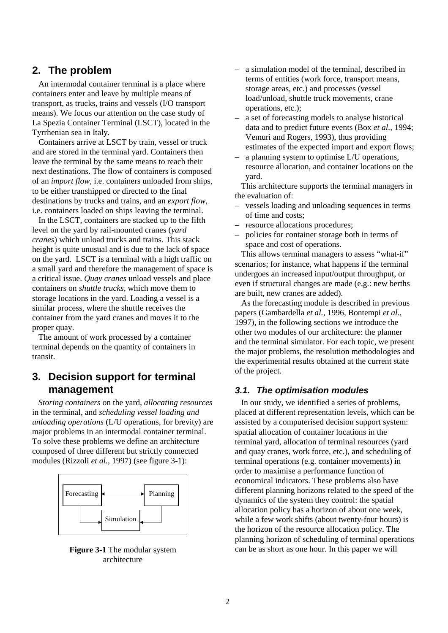## **2. The problem**

An intermodal container terminal is a place where containers enter and leave by multiple means of transport, as trucks, trains and vessels (I/O transport means). We focus our attention on the case study of La Spezia Container Terminal (LSCT), located in the Tyrrhenian sea in Italy.

Containers arrive at LSCT by train, vessel or truck and are stored in the terminal yard. Containers then leave the terminal by the same means to reach their next destinations. The flow of containers is composed of an *import flow*, i.e. containers unloaded from ships, to be either transhipped or directed to the final destinations by trucks and trains, and an *export flow*, i.e. containers loaded on ships leaving the terminal.

In the LSCT, containers are stacked up to the fifth level on the yard by rail-mounted cranes (*yard cranes*) which unload trucks and trains. This stack height is quite unusual and is due to the lack of space on the yard. LSCT is a terminal with a high traffic on a small yard and therefore the management of space is a critical issue. *Quay cranes* unload vessels and place containers on *shuttle trucks*, which move them to storage locations in the yard. Loading a vessel is a similar process, where the shuttle receives the container from the yard cranes and moves it to the proper quay.

The amount of work processed by a container terminal depends on the quantity of containers in transit.

# **3. Decision support for terminal management**

*Storing containers* on the yard*, allocating resources* in the terminal*,* and *scheduling vessel loading and unloading operations* (L/U operations, for brevity) are major problems in an intermodal container terminal. To solve these problems we define an architecture composed of three different but strictly connected modules (Rizzoli *et al.*, 1997) (see figure 3-1):



**Figure 3-1** The modular system architecture

- a simulation model of the terminal, described in terms of entities (work force, transport means, storage areas, etc.) and processes (vessel load/unload, shuttle truck movements, crane operations, etc.);
- a set of forecasting models to analyse historical data and to predict future events (Box *et al.*, 1994; Vemuri and Rogers, 1993), thus providing estimates of the expected import and export flows;
- a planning system to optimise L/U operations, resource allocation, and container locations on the yard.

This architecture supports the terminal managers in the evaluation of:

- vessels loading and unloading sequences in terms of time and costs;
- resource allocations procedures;
- policies for container storage both in terms of space and cost of operations.

This allows terminal managers to assess "what-if" scenarios; for instance, what happens if the terminal undergoes an increased input/output throughput, or even if structural changes are made (e.g.: new berths are built, new cranes are added).

As the forecasting module is described in previous papers (Gambardella *et al.*, 1996, Bontempi *et al.*, 1997), in the following sections we introduce the other two modules of our architecture: the planner and the terminal simulator. For each topic, we present the major problems, the resolution methodologies and the experimental results obtained at the current state of the project.

### **3.1. The optimisation modules**

In our study, we identified a series of problems, placed at different representation levels, which can be assisted by a computerised decision support system: spatial allocation of container locations in the terminal yard, allocation of terminal resources (yard and quay cranes, work force, etc.), and scheduling of terminal operations (e.g. container movements) in order to maximise a performance function of economical indicators. These problems also have different planning horizons related to the speed of the dynamics of the system they control: the spatial allocation policy has a horizon of about one week, while a few work shifts (about twenty-four hours) is the horizon of the resource allocation policy. The planning horizon of scheduling of terminal operations can be as short as one hour. In this paper we will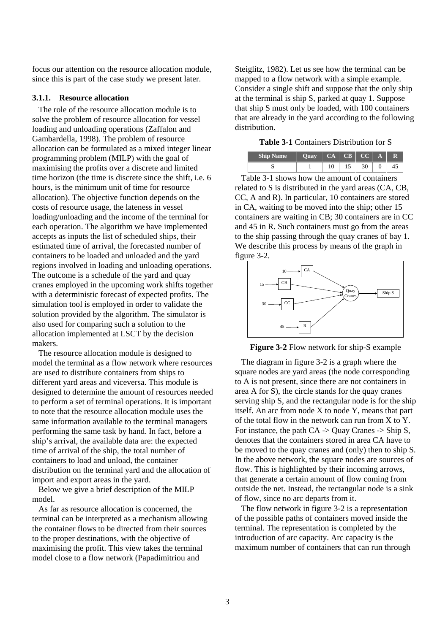focus our attention on the resource allocation module, since this is part of the case study we present later.

#### **3.1.1. Resource allocation**

The role of the resource allocation module is to solve the problem of resource allocation for vessel loading and unloading operations (Zaffalon and Gambardella, 1998). The problem of resource allocation can be formulated as a mixed integer linear programming problem (MILP) with the goal of maximising the profits over a discrete and limited time horizon (the time is discrete since the shift, i.e. 6 hours, is the minimum unit of time for resource allocation). The objective function depends on the costs of resource usage, the lateness in vessel loading/unloading and the income of the terminal for each operation. The algorithm we have implemented accepts as inputs the list of scheduled ships, their estimated time of arrival, the forecasted number of containers to be loaded and unloaded and the yard regions involved in loading and unloading operations. The outcome is a schedule of the yard and quay cranes employed in the upcoming work shifts together with a deterministic forecast of expected profits. The simulation tool is employed in order to validate the solution provided by the algorithm. The simulator is also used for comparing such a solution to the allocation implemented at LSCT by the decision makers.

The resource allocation module is designed to model the terminal as a flow network where resources are used to distribute containers from ships to different yard areas and viceversa. This module is designed to determine the amount of resources needed to perform a set of terminal operations. It is important to note that the resource allocation module uses the same information available to the terminal managers performing the same task by hand. In fact, before a ship's arrival, the available data are: the expected time of arrival of the ship, the total number of containers to load and unload, the container distribution on the terminal yard and the allocation of import and export areas in the yard.

Below we give a brief description of the MILP model.

As far as resource allocation is concerned, the terminal can be interpreted as a mechanism allowing the container flows to be directed from their sources to the proper destinations, with the objective of maximising the profit. This view takes the terminal model close to a flow network (Papadimitriou and

Steiglitz, 1982). Let us see how the terminal can be mapped to a flow network with a simple example. Consider a single shift and suppose that the only ship at the terminal is ship S, parked at quay 1. Suppose that ship S must only be loaded, with 100 containers that are already in the yard according to the following distribution.

#### **Table 3-1** Containers Distribution for S

| <b>Ship Name</b> | $\overline{\text{Ouav}}$ $\overline{\text{CA}}$ $\overline{\text{CB}}$ $\overline{\text{CC}}$ |    |            | A            | $\mathbf R$ |
|------------------|-----------------------------------------------------------------------------------------------|----|------------|--------------|-------------|
|                  |                                                                                               | 15 | $\vert$ 30 | $\mathbf{0}$ |             |

Table 3-1 shows how the amount of containers related to S is distributed in the yard areas (CA, CB, CC, A and R). In particular, 10 containers are stored in CA, waiting to be moved into the ship; other 15 containers are waiting in CB; 30 containers are in CC and 45 in R. Such containers must go from the areas to the ship passing through the quay cranes of bay 1. We describe this process by means of the graph in figure 3-2.



**Figure 3-2** Flow network for ship-S example

The diagram in figure 3-2 is a graph where the square nodes are yard areas (the node corresponding to A is not present, since there are not containers in area A for S), the circle stands for the quay cranes serving ship S, and the rectangular node is for the ship itself. An arc from node X to node Y, means that part of the total flow in the network can run from X to Y. For instance, the path  $CA \rightarrow Ou$ ay Cranes  $\rightarrow$  Ship S, denotes that the containers stored in area CA have to be moved to the quay cranes and (only) then to ship S. In the above network, the square nodes are sources of flow. This is highlighted by their incoming arrows, that generate a certain amount of flow coming from outside the net. Instead, the rectangular node is a sink of flow, since no arc departs from it.

The flow network in figure 3-2 is a representation of the possible paths of containers moved inside the terminal. The representation is completed by the introduction of arc capacity. Arc capacity is the maximum number of containers that can run through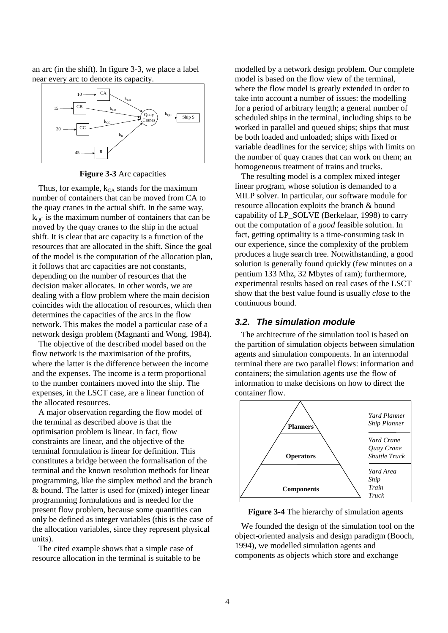an arc (in the shift). In figure 3-3, we place a label near every arc to denote its capacity.



**Figure 3-3** Arc capacities

Thus, for example,  $k_{CA}$  stands for the maximum number of containers that can be moved from CA to the quay cranes in the actual shift. In the same way,  $k_{OC}$  is the maximum number of containers that can be moved by the quay cranes to the ship in the actual shift. It is clear that arc capacity is a function of the resources that are allocated in the shift. Since the goal of the model is the computation of the allocation plan, it follows that arc capacities are not constants, depending on the number of resources that the decision maker allocates. In other words, we are dealing with a flow problem where the main decision coincides with the allocation of resources, which then determines the capacities of the arcs in the flow network. This makes the model a particular case of a network design problem (Magnanti and Wong, 1984).

The objective of the described model based on the flow network is the maximisation of the profits, where the latter is the difference between the income and the expenses. The income is a term proportional to the number containers moved into the ship. The expenses, in the LSCT case, are a linear function of the allocated resources.

A major observation regarding the flow model of the terminal as described above is that the optimisation problem is linear. In fact, flow constraints are linear, and the objective of the terminal formulation is linear for definition. This constitutes a bridge between the formalisation of the terminal and the known resolution methods for linear programming, like the simplex method and the branch & bound. The latter is used for (mixed) integer linear programming formulations and is needed for the present flow problem, because some quantities can only be defined as integer variables (this is the case of the allocation variables, since they represent physical units).

The cited example shows that a simple case of resource allocation in the terminal is suitable to be modelled by a network design problem. Our complete model is based on the flow view of the terminal, where the flow model is greatly extended in order to take into account a number of issues: the modelling for a period of arbitrary length; a general number of scheduled ships in the terminal, including ships to be worked in parallel and queued ships; ships that must be both loaded and unloaded; ships with fixed or variable deadlines for the service; ships with limits on the number of quay cranes that can work on them; an homogeneous treatment of trains and trucks.

The resulting model is a complex mixed integer linear program, whose solution is demanded to a MILP solver. In particular, our software module for resource allocation exploits the branch & bound capability of LP\_SOLVE (Berkelaar, 1998) to carry out the computation of a *good* feasible solution. In fact, getting optimality is a time-consuming task in our experience, since the complexity of the problem produces a huge search tree. Notwithstanding, a good solution is generally found quickly (few minutes on a pentium 133 Mhz, 32 Mbytes of ram); furthermore, experimental results based on real cases of the LSCT show that the best value found is usually *close* to the continuous bound.

### **3.2. The simulation module**

The architecture of the simulation tool is based on the partition of simulation objects between simulation agents and simulation components. In an intermodal terminal there are two parallel flows: information and containers; the simulation agents use the flow of information to make decisions on how to direct the container flow.



**Figure 3-4** The hierarchy of simulation agents

We founded the design of the simulation tool on the object-oriented analysis and design paradigm (Booch, 1994), we modelled simulation agents and components as objects which store and exchange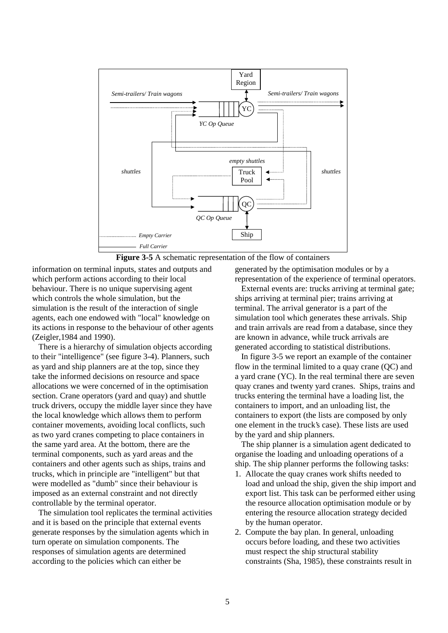



information on terminal inputs, states and outputs and which perform actions according to their local behaviour. There is no unique supervising agent which controls the whole simulation, but the simulation is the result of the interaction of single agents, each one endowed with "local" knowledge on its actions in response to the behaviour of other agents (Zeigler,1984 and 1990).

There is a hierarchy of simulation objects according to their "intelligence" (see figure 3-4). Planners, such as yard and ship planners are at the top, since they take the informed decisions on resource and space allocations we were concerned of in the optimisation section. Crane operators (yard and quay) and shuttle truck drivers, occupy the middle layer since they have the local knowledge which allows them to perform container movements, avoiding local conflicts, such as two yard cranes competing to place containers in the same yard area. At the bottom, there are the terminal components, such as yard areas and the containers and other agents such as ships, trains and trucks, which in principle are "intelligent" but that were modelled as "dumb" since their behaviour is imposed as an external constraint and not directly controllable by the terminal operator.

The simulation tool replicates the terminal activities and it is based on the principle that external events generate responses by the simulation agents which in turn operate on simulation components. The responses of simulation agents are determined according to the policies which can either be

generated by the optimisation modules or by a representation of the experience of terminal operators.

External events are: trucks arriving at terminal gate; ships arriving at terminal pier; trains arriving at terminal. The arrival generator is a part of the simulation tool which generates these arrivals. Ship and train arrivals are read from a database, since they are known in advance, while truck arrivals are generated according to statistical distributions.

In figure 3-5 we report an example of the container flow in the terminal limited to a quay crane (QC) and a yard crane (YC). In the real terminal there are seven quay cranes and twenty yard cranes. Ships, trains and trucks entering the terminal have a loading list, the containers to import, and an unloading list, the containers to export (the lists are composed by only one element in the truck's case). These lists are used by the yard and ship planners.

The ship planner is a simulation agent dedicated to organise the loading and unloading operations of a ship. The ship planner performs the following tasks:

- 1. Allocate the quay cranes work shifts needed to load and unload the ship, given the ship import and export list. This task can be performed either using the resource allocation optimisation module or by entering the resource allocation strategy decided by the human operator.
- 2. Compute the bay plan. In general, unloading occurs before loading, and these two activities must respect the ship structural stability constraints (Sha, 1985), these constraints result in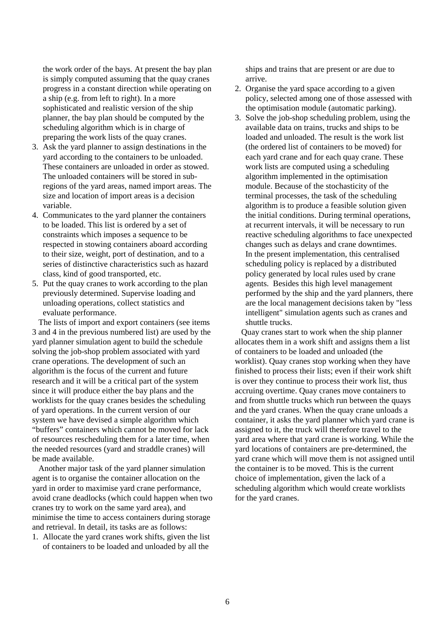the work order of the bays. At present the bay plan is simply computed assuming that the quay cranes progress in a constant direction while operating on a ship (e.g. from left to right). In a more sophisticated and realistic version of the ship planner, the bay plan should be computed by the scheduling algorithm which is in charge of preparing the work lists of the quay cranes.

- 3. Ask the yard planner to assign destinations in the yard according to the containers to be unloaded. These containers are unloaded in order as stowed. The unloaded containers will be stored in subregions of the yard areas, named import areas. The size and location of import areas is a decision variable.
- 4. Communicates to the yard planner the containers to be loaded. This list is ordered by a set of constraints which imposes a sequence to be respected in stowing containers aboard according to their size, weight, port of destination, and to a series of distinctive characteristics such as hazard class, kind of good transported, etc.
- 5. Put the quay cranes to work according to the plan previously determined. Supervise loading and unloading operations, collect statistics and evaluate performance.

The lists of import and export containers (see items 3 and 4 in the previous numbered list) are used by the yard planner simulation agent to build the schedule solving the job-shop problem associated with yard crane operations. The development of such an algorithm is the focus of the current and future research and it will be a critical part of the system since it will produce either the bay plans and the worklists for the quay cranes besides the scheduling of yard operations. In the current version of our system we have devised a simple algorithm which "buffers" containers which cannot be moved for lack of resources rescheduling them for a later time, when the needed resources (yard and straddle cranes) will be made available.

Another major task of the yard planner simulation agent is to organise the container allocation on the yard in order to maximise yard crane performance, avoid crane deadlocks (which could happen when two cranes try to work on the same yard area), and minimise the time to access containers during storage and retrieval. In detail, its tasks are as follows:

1. Allocate the yard cranes work shifts, given the list of containers to be loaded and unloaded by all the

ships and trains that are present or are due to arrive.

- 2. Organise the yard space according to a given policy, selected among one of those assessed with the optimisation module (automatic parking).
- 3. Solve the job-shop scheduling problem, using the available data on trains, trucks and ships to be loaded and unloaded. The result is the work list (the ordered list of containers to be moved) for each yard crane and for each quay crane. These work lists are computed using a scheduling algorithm implemented in the optimisation module. Because of the stochasticity of the terminal processes, the task of the scheduling algorithm is to produce a feasible solution given the initial conditions. During terminal operations, at recurrent intervals, it will be necessary to run reactive scheduling algorithms to face unexpected changes such as delays and crane downtimes. In the present implementation, this centralised scheduling policy is replaced by a distributed policy generated by local rules used by crane agents. Besides this high level management performed by the ship and the yard planners, there are the local management decisions taken by "less intelligent" simulation agents such as cranes and shuttle trucks.

Quay cranes start to work when the ship planner allocates them in a work shift and assigns them a list of containers to be loaded and unloaded (the worklist). Quay cranes stop working when they have finished to process their lists; even if their work shift is over they continue to process their work list, thus accruing overtime. Quay cranes move containers to and from shuttle trucks which run between the quays and the yard cranes. When the quay crane unloads a container, it asks the yard planner which yard crane is assigned to it, the truck will therefore travel to the yard area where that yard crane is working. While the yard locations of containers are pre-determined, the yard crane which will move them is not assigned until the container is to be moved. This is the current choice of implementation, given the lack of a scheduling algorithm which would create worklists for the yard cranes.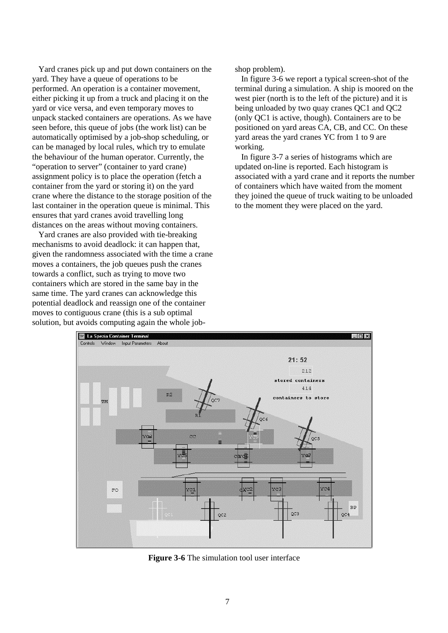Yard cranes pick up and put down containers on the yard. They have a queue of operations to be performed. An operation is a container movement, either picking it up from a truck and placing it on the yard or vice versa, and even temporary moves to unpack stacked containers are operations. As we have seen before, this queue of jobs (the work list) can be automatically optimised by a job-shop scheduling, or can be managed by local rules, which try to emulate the behaviour of the human operator. Currently, the "operation to server" (container to yard crane) assignment policy is to place the operation (fetch a container from the yard or storing it) on the yard crane where the distance to the storage position of the last container in the operation queue is minimal. This ensures that yard cranes avoid travelling long distances on the areas without moving containers.

Yard cranes are also provided with tie-breaking mechanisms to avoid deadlock: it can happen that, given the randomness associated with the time a crane moves a containers, the job queues push the cranes towards a conflict, such as trying to move two containers which are stored in the same bay in the same time. The yard cranes can acknowledge this potential deadlock and reassign one of the container moves to contiguous crane (this is a sub optimal solution, but avoids computing again the whole jobshop problem).

In figure 3-6 we report a typical screen-shot of the terminal during a simulation. A ship is moored on the west pier (north is to the left of the picture) and it is being unloaded by two quay cranes QC1 and QC2 (only QC1 is active, though). Containers are to be positioned on yard areas CA, CB, and CC. On these yard areas the yard cranes YC from 1 to 9 are working.

In figure 3-7 a series of histograms which are updated on-line is reported. Each histogram is associated with a yard crane and it reports the number of containers which have waited from the moment they joined the queue of truck waiting to be unloaded to the moment they were placed on the yard.



**Figure 3-6** The simulation tool user interface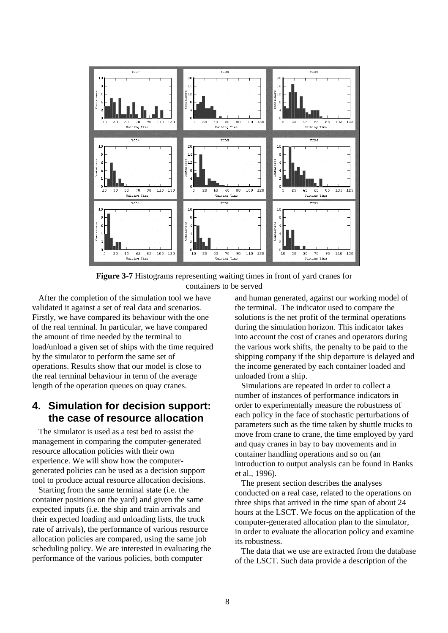

**Figure 3-7** Histograms representing waiting times in front of yard cranes for containers to be served

After the completion of the simulation tool we have validated it against a set of real data and scenarios. Firstly, we have compared its behaviour with the one of the real terminal. In particular, we have compared the amount of time needed by the terminal to load/unload a given set of ships with the time required by the simulator to perform the same set of operations. Results show that our model is close to the real terminal behaviour in term of the average length of the operation queues on quay cranes.

## **4. Simulation for decision support: the case of resource allocation**

The simulator is used as a test bed to assist the management in comparing the computer-generated resource allocation policies with their own experience. We will show how the computergenerated policies can be used as a decision support tool to produce actual resource allocation decisions.

Starting from the same terminal state (i.e. the container positions on the yard) and given the same expected inputs (i.e. the ship and train arrivals and their expected loading and unloading lists, the truck rate of arrivals), the performance of various resource allocation policies are compared, using the same job scheduling policy. We are interested in evaluating the performance of the various policies, both computer

and human generated, against our working model of the terminal. The indicator used to compare the solutions is the net profit of the terminal operations during the simulation horizon. This indicator takes into account the cost of cranes and operators during the various work shifts, the penalty to be paid to the shipping company if the ship departure is delayed and the income generated by each container loaded and unloaded from a ship.

Simulations are repeated in order to collect a number of instances of performance indicators in order to experimentally measure the robustness of each policy in the face of stochastic perturbations of parameters such as the time taken by shuttle trucks to move from crane to crane, the time employed by yard and quay cranes in bay to bay movements and in container handling operations and so on (an introduction to output analysis can be found in Banks et al., 1996).

The present section describes the analyses conducted on a real case, related to the operations on three ships that arrived in the time span of about 24 hours at the LSCT. We focus on the application of the computer-generated allocation plan to the simulator, in order to evaluate the allocation policy and examine its robustness.

The data that we use are extracted from the database of the LSCT. Such data provide a description of the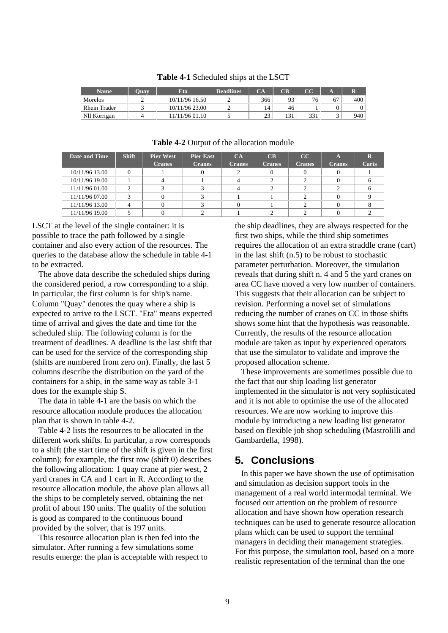| <b>Name</b>  | <b>Ouav</b> | Eta            | <b>Deadlines</b> | $\mathbf{A}$       | CB  | $\alpha$ |    |     |
|--------------|-------------|----------------|------------------|--------------------|-----|----------|----|-----|
| Morelos      |             | 10/11/96 16.50 |                  | 366                | 93  | 76       | 67 | 400 |
| Rhein Trader |             | 10/11/96 23.00 |                  | 14                 | 46  |          |    | 0   |
| Nll Korrigan |             | 11/11/96 01.10 |                  | $2^{\circ}$<br>ں ک | 121 | 331      |    | 940 |

**Table 4-1** Scheduled ships at the LSCT

| Date and Time  | <b>Shift</b> | <b>Pier West</b><br><b>Cranes</b> | <b>Pier East</b><br><b>Cranes</b> | <b>CA</b><br><b>Cranes</b> | $\overline{\text{CB}}$<br><b>Cranes</b> | CC<br><b>Cranes</b> | A<br><b>Cranes</b> | $\mathbf R$<br>Carts |
|----------------|--------------|-----------------------------------|-----------------------------------|----------------------------|-----------------------------------------|---------------------|--------------------|----------------------|
| 10/11/96 13.00 |              |                                   |                                   |                            |                                         |                     |                    |                      |
| 10/11/96 19.00 |              |                                   |                                   |                            |                                         |                     |                    |                      |
| 11/11/96 01.00 |              |                                   |                                   |                            |                                         |                     |                    |                      |
| 11/11/96 07.00 |              |                                   |                                   |                            |                                         |                     |                    |                      |
| 11/11/96 13.00 |              |                                   |                                   |                            |                                         |                     |                    |                      |
| 11/11/96 19.00 |              |                                   |                                   |                            |                                         |                     |                    |                      |

#### **Table 4-2** Output of the allocation module

LSCT at the level of the single container: it is possible to trace the path followed by a single container and also every action of the resources. The queries to the database allow the schedule in table 4-1 to be extracted.

The above data describe the scheduled ships during the considered period, a row corresponding to a ship. In particular, the first column is for ship's name. Column "Quay" denotes the quay where a ship is expected to arrive to the LSCT. "Eta" means expected time of arrival and gives the date and time for the scheduled ship. The following column is for the treatment of deadlines. A deadline is the last shift that can be used for the service of the corresponding ship (shifts are numbered from zero on). Finally, the last 5 columns describe the distribution on the yard of the containers for a ship, in the same way as table 3-1 does for the example ship S.

The data in table 4-1 are the basis on which the resource allocation module produces the allocation plan that is shown in table 4-2.

Table 4-2 lists the resources to be allocated in the different work shifts. In particular, a row corresponds to a shift (the start time of the shift is given in the first column); for example, the first row (shift 0) describes the following allocation: 1 quay crane at pier west, 2 yard cranes in CA and 1 cart in R. According to the resource allocation module, the above plan allows all the ships to be completely served, obtaining the net profit of about 190 units. The quality of the solution is good as compared to the continuous bound provided by the solver, that is 197 units.

This resource allocation plan is then fed into the simulator. After running a few simulations some results emerge: the plan is acceptable with respect to the ship deadlines, they are always respected for the first two ships, while the third ship sometimes requires the allocation of an extra straddle crane (cart) in the last shift (n.5) to be robust to stochastic parameter perturbation. Moreover, the simulation reveals that during shift n. 4 and 5 the yard cranes on area CC have moved a very low number of containers. This suggests that their allocation can be subject to revision. Performing a novel set of simulations reducing the number of cranes on CC in those shifts shows some hint that the hypothesis was reasonable. Currently, the results of the resource allocation module are taken as input by experienced operators that use the simulator to validate and improve the proposed allocation scheme.

These improvements are sometimes possible due to the fact that our ship loading list generator implemented in the simulator is not very sophisticated and it is not able to optimise the use of the allocated resources. We are now working to improve this module by introducing a new loading list generator based on flexible job shop scheduling (Mastrolilli and Gambardella, 1998).

## **5. Conclusions**

In this paper we have shown the use of optimisation and simulation as decision support tools in the management of a real world intermodal terminal. We focused our attention on the problem of resource allocation and have shown how operation research techniques can be used to generate resource allocation plans which can be used to support the terminal managers in deciding their management strategies. For this purpose, the simulation tool, based on a more realistic representation of the terminal than the one